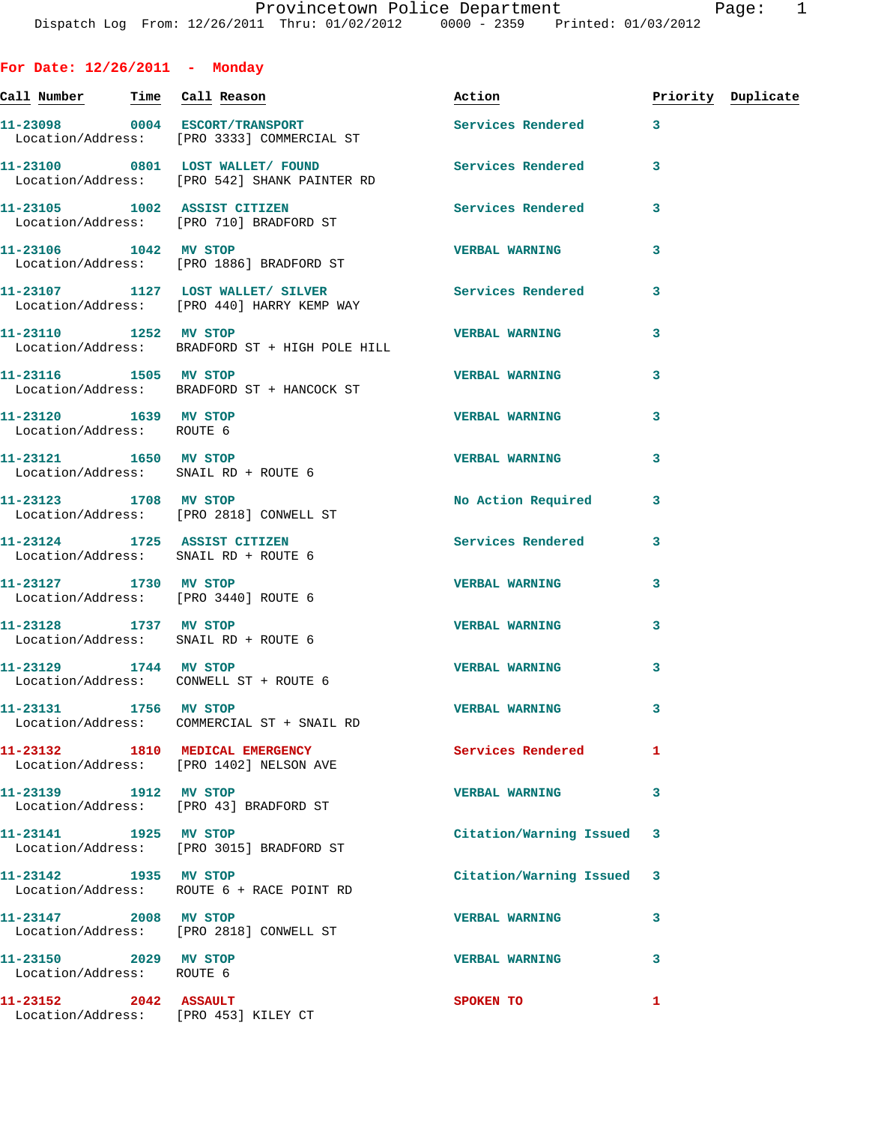| For Date: $12/26/2011$ - Monday                                      |                                                                                                   |                           |   |                    |
|----------------------------------------------------------------------|---------------------------------------------------------------------------------------------------|---------------------------|---|--------------------|
|                                                                      | <u>Call Number — Time Call Reason</u>                                                             | Action                    |   | Priority Duplicate |
|                                                                      | 11-23098 0004 ESCORT/TRANSPORT<br>Location/Address: [PRO 3333] COMMERCIAL ST                      | Services Rendered 3       |   |                    |
|                                                                      | 11-23100 0801 LOST WALLET/FOUND<br>Location/Address: [PRO 542] SHANK PAINTER RD                   | Services Rendered         | 3 |                    |
|                                                                      | 11-23105 1002 ASSIST CITIZEN<br>Location/Address: [PRO 710] BRADFORD ST                           | <b>Services Rendered</b>  | 3 |                    |
|                                                                      | 11-23106 1042 MV STOP<br>Location/Address: [PRO 1886] BRADFORD ST                                 | <b>VERBAL WARNING</b>     | 3 |                    |
|                                                                      | 11-23107 1127 LOST WALLET/ SILVER Services Rendered<br>Location/Address: [PRO 440] HARRY KEMP WAY |                           | 3 |                    |
|                                                                      | 11-23110 1252 MV STOP<br>Location/Address: BRADFORD ST + HIGH POLE HILL                           | <b>VERBAL WARNING</b>     | 3 |                    |
| 11-23116 1505 MV STOP                                                | Location/Address: BRADFORD ST + HANCOCK ST                                                        | <b>VERBAL WARNING</b>     | 3 |                    |
| 11-23120 1639 MV STOP<br>Location/Address: ROUTE 6                   |                                                                                                   | <b>VERBAL WARNING</b>     | 3 |                    |
| 11-23121 1650 MV STOP<br>Location/Address: SNAIL RD + ROUTE 6        |                                                                                                   | <b>VERBAL WARNING</b>     | 3 |                    |
|                                                                      | 11-23123 1708 MV STOP<br>Location/Address: [PRO 2818] CONWELL ST                                  | <b>No Action Required</b> | 3 |                    |
| 11-23124 1725 ASSIST CITIZEN<br>Location/Address: SNAIL RD + ROUTE 6 |                                                                                                   | Services Rendered         | 3 |                    |
| 11-23127 1730 MV STOP<br>Location/Address: [PRO 3440] ROUTE 6        |                                                                                                   | <b>VERBAL WARNING</b>     | 3 |                    |
| 11-23128 1737 MV STOP<br>Location/Address: SNAIL RD + ROUTE 6        |                                                                                                   | <b>VERBAL WARNING</b>     | 3 |                    |
| 11-23129 1744 MV STOP<br>Location/Address: CONWELL ST + ROUTE 6      |                                                                                                   | <b>VERBAL WARNING</b>     | 3 |                    |
| 11-23131 1756 MV STOP                                                | Location/Address: COMMERCIAL ST + SNAIL RD                                                        | <b>VERBAL WARNING</b>     | 3 |                    |
|                                                                      | 11-23132 1810 MEDICAL EMERGENCY<br>Location/Address: [PRO 1402] NELSON AVE                        | Services Rendered         | 1 |                    |
| 11-23139 1912 MV STOP                                                | Location/Address: [PRO 43] BRADFORD ST                                                            | <b>VERBAL WARNING</b>     | 3 |                    |
| 11-23141 1925 MV STOP                                                | Location/Address: [PRO 3015] BRADFORD ST                                                          | Citation/Warning Issued   | 3 |                    |
| 11-23142 1935 MV STOP                                                | Location/Address: ROUTE 6 + RACE POINT RD                                                         | Citation/Warning Issued   | 3 |                    |
| 11-23147 2008 MV STOP                                                | Location/Address: [PRO 2818] CONWELL ST                                                           | <b>VERBAL WARNING</b>     | 3 |                    |
| 11-23150 2029 MV STOP<br>Location/Address: ROUTE 6                   |                                                                                                   | <b>VERBAL WARNING</b>     | 3 |                    |
| 11-23152 2042 ASSAULT<br>Location/Address: [PRO 453] KILEY CT        |                                                                                                   | SPOKEN TO                 | 1 |                    |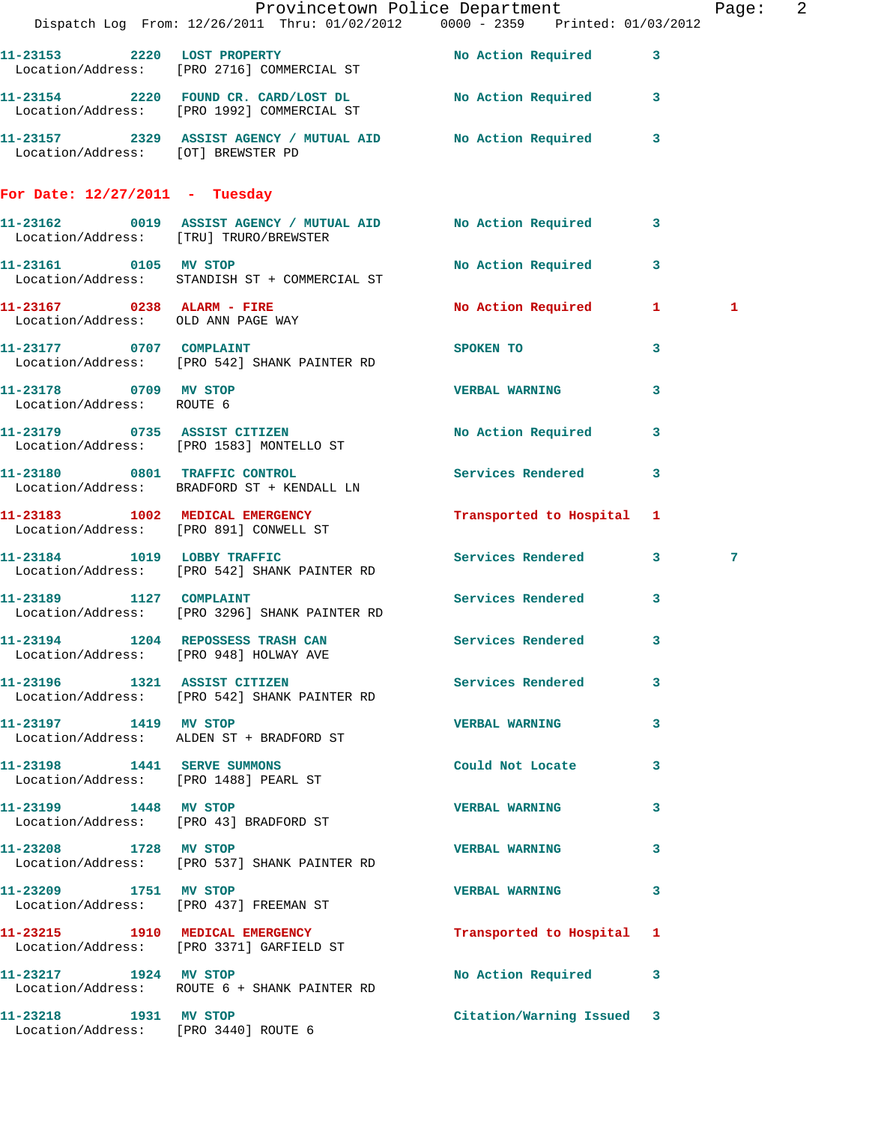|                                                    | Dispatch Log From: 12/26/2011 Thru: 01/02/2012   0000 - 2359   Printed: 01/03/2012                      | Provincetown Police Department Page: 2 |   |              |  |
|----------------------------------------------------|---------------------------------------------------------------------------------------------------------|----------------------------------------|---|--------------|--|
|                                                    |                                                                                                         |                                        |   |              |  |
|                                                    | 11-23153 2220 LOST PROPERTY No Action Required 3<br>Location/Address: [PRO 2716] COMMERCIAL ST          |                                        |   |              |  |
|                                                    | 11-23154 2220 FOUND CR. CARD/LOST DL No Action Required 3<br>Location/Address: [PRO 1992] COMMERCIAL ST |                                        |   |              |  |
|                                                    | 11-23157 2329 ASSIST AGENCY / MUTUAL AID No Action Required 3<br>Location/Address: [OT] BREWSTER PD     |                                        |   |              |  |
| For Date: $12/27/2011$ - Tuesday                   |                                                                                                         |                                        |   |              |  |
|                                                    | 11-23162 0019 ASSIST AGENCY / MUTUAL AID No Action Required 3<br>Location/Address: [TRU] TRURO/BREWSTER |                                        |   |              |  |
| 11-23161 0105 MV STOP                              | Location/Address: STANDISH ST + COMMERCIAL ST                                                           | No Action Required 3                   |   |              |  |
| Location/Address: OLD ANN PAGE WAY                 | 11-23167 0238 ALARM - FIRE                                                                              | No Action Required 1                   |   | $\mathbf{1}$ |  |
|                                                    | 11-23177 0707 COMPLAINT<br>Location/Address: [PRO 542] SHANK PAINTER RD                                 | <b>SPOKEN TO</b>                       | 3 |              |  |
| 11-23178 0709 MV STOP<br>Location/Address: ROUTE 6 |                                                                                                         | <b>VERBAL WARNING</b>                  | 3 |              |  |
|                                                    | 11-23179 0735 ASSIST CITIZEN<br>Location/Address: [PRO 1583] MONTELLO ST                                | No Action Required                     | 3 |              |  |
|                                                    | 11-23180 0801 TRAFFIC CONTROL<br>Location/Address: BRADFORD ST + KENDALL LN                             | Services Rendered 3                    |   |              |  |
| Location/Address: [PRO 891] CONWELL ST             | 11-23183 1002 MEDICAL EMERGENCY                                                                         | Transported to Hospital 1              |   |              |  |
|                                                    | 11-23184 1019 LOBBY TRAFFIC<br>Location/Address: [PRO 542] SHANK PAINTER RD                             | Services Rendered 3                    |   | 7            |  |
| 11-23189 1127 COMPLAINT                            | Location/Address: [PRO 3296] SHANK PAINTER RD                                                           | Services Rendered                      | 3 |              |  |
|                                                    | 11-23194 1204 REPOSSESS TRASH CAN<br>Location/Address: [PRO 948] HOLWAY AVE                             | Services Rendered 3                    |   |              |  |
|                                                    | 11-23196 1321 ASSIST CITIZEN<br>Location/Address: [PRO 542] SHANK PAINTER RD                            | Services Rendered                      | 3 |              |  |
| 11-23197 1419 MV STOP                              | Location/Address: ALDEN ST + BRADFORD ST                                                                | <b>VERBAL WARNING</b>                  | 3 |              |  |
| Location/Address: [PRO 1488] PEARL ST              | 11-23198    1441    SERVE SUMMONS                                                                       | Could Not Locate                       | 3 |              |  |
| 11-23199 1448 MV STOP                              | Location/Address: [PRO 43] BRADFORD ST                                                                  | <b>VERBAL WARNING</b>                  | 3 |              |  |
|                                                    | 11-23208 1728 MV STOP<br>Location/Address: [PRO 537] SHANK PAINTER RD                                   | <b>VERBAL WARNING</b>                  | 3 |              |  |
| 11-23209 1751 MV STOP                              | Location/Address: [PRO 437] FREEMAN ST                                                                  | VERBAL WARNING 3                       |   |              |  |
|                                                    | 11-23215 1910 MEDICAL EMERGENCY<br>Location/Address: [PRO 3371] GARFIELD ST                             | Transported to Hospital 1              |   |              |  |
| 11-23217 1924 MV STOP                              | Location/Address: ROUTE 6 + SHANK PAINTER RD                                                            | No Action Required 3                   |   |              |  |
| 11-23218 1931 MV STOP                              | Location/Address: [PRO 3440] ROUTE 6                                                                    | Citation/Warning Issued 3              |   |              |  |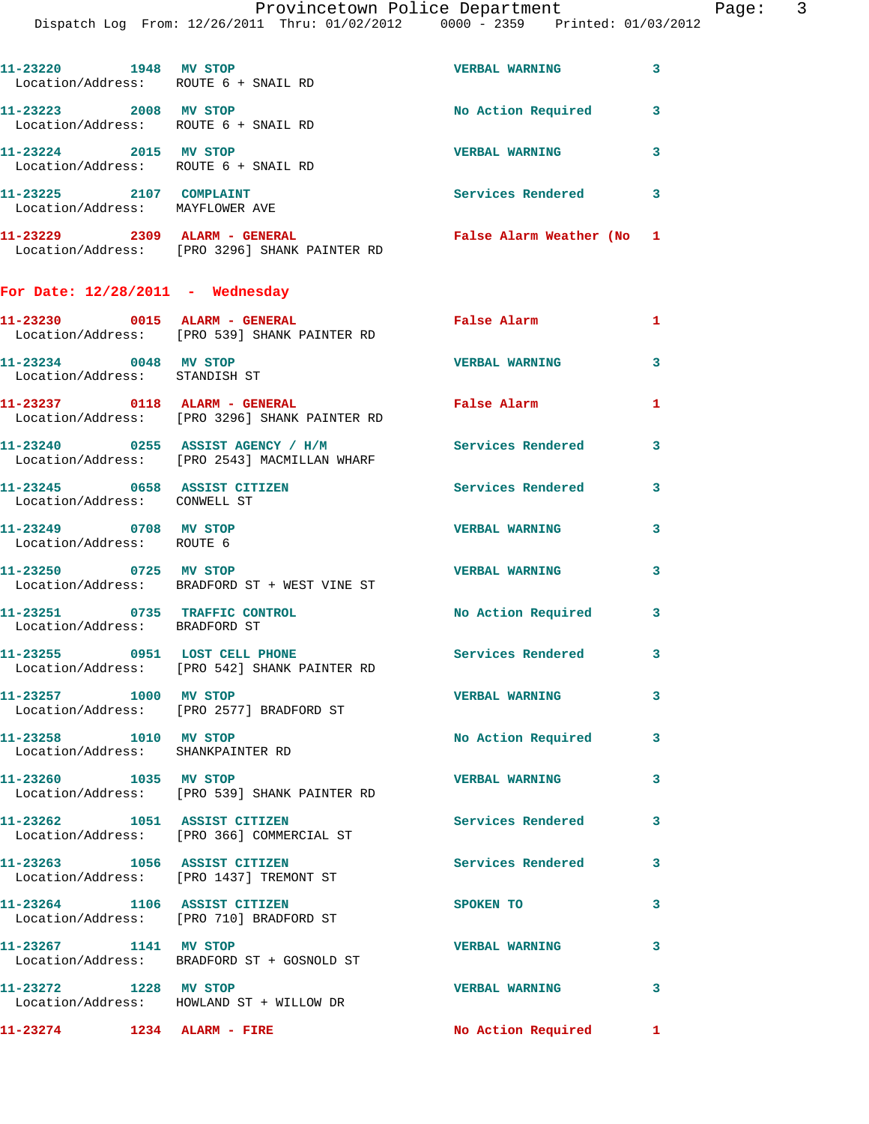| 1948<br>11-23220<br>Location/Address: ROUTE 6 + SNAIL RD | MV STOP                                                  | <b>VERBAL WARNING</b>   | 3 |
|----------------------------------------------------------|----------------------------------------------------------|-------------------------|---|
| 11-23223<br>2008<br>Location/Address:                    | MV STOP<br>ROUTE 6 + SNAIL RD                            | No Action Required      |   |
| 11-23224<br>2015<br>Location/Address: ROUTE 6 + SNAIL RD | MV STOP                                                  | <b>VERBAL WARNING</b>   | 3 |
| 11-23225<br>2107<br>Location/Address:                    | <b>COMPLAINT</b><br>MAYFLOWER AVE                        | Services Rendered       | 3 |
| 11-23229<br>2309<br>Location/Address:                    | ALARM -<br><b>GENERAL</b><br>[PRO 3296] SHANK PAINTER RD | False Alarm Weather (No |   |

## **For Date: 12/28/2011 - Wednesday**

| 11-23274 1234 ALARM - FIRE                                     |                                                                                   | No Action Required        | $\mathbf{1}$            |
|----------------------------------------------------------------|-----------------------------------------------------------------------------------|---------------------------|-------------------------|
| 11-23272 1228 MV STOP                                          | Location/Address: HOWLAND ST + WILLOW DR                                          | <b>VERBAL WARNING</b>     | $\mathbf{3}$            |
| 11-23267 1141 MV STOP                                          | Location/Address: BRADFORD ST + GOSNOLD ST                                        | <b>VERBAL WARNING</b>     | $\mathbf{3}$            |
| 11-23264 1106 ASSIST CITIZEN                                   | Location/Address: [PRO 710] BRADFORD ST                                           | <b>SPOKEN TO</b>          | $\mathbf{3}$            |
| 11-23263 1056 ASSIST CITIZEN                                   | Location/Address: [PRO 1437] TREMONT ST                                           | <b>Services Rendered</b>  | $\overline{\mathbf{3}}$ |
| 11-23262 1051 ASSIST CITIZEN                                   | Location/Address: [PRO 366] COMMERCIAL ST                                         | <b>Services Rendered</b>  | $\mathbf{3}$            |
| 11-23260 1035 MV STOP                                          | Location/Address: [PRO 539] SHANK PAINTER RD                                      | <b>VERBAL WARNING</b>     | $\mathbf{3}$            |
| 11-23258 1010 MV STOP<br>Location/Address: SHANKPAINTER RD     |                                                                                   | <b>No Action Required</b> | $\mathbf{3}$            |
| 11-23257 1000 MV STOP                                          | Location/Address: [PRO 2577] BRADFORD ST                                          | <b>VERBAL WARNING</b>     | $\mathbf{3}$            |
| 11-23255 0951 LOST CELL PHONE                                  | Location/Address: [PRO 542] SHANK PAINTER RD                                      | Services Rendered         | $\mathbf{3}$            |
| 11-23251 0735 TRAFFIC CONTROL<br>Location/Address: BRADFORD ST |                                                                                   | No Action Required        | $\mathbf{3}$            |
| 11-23250 0725 MV STOP                                          | Location/Address: BRADFORD ST + WEST VINE ST                                      | <b>VERBAL WARNING</b>     | $\overline{\mathbf{3}}$ |
| 11-23249 0708 MV STOP<br>Location/Address: ROUTE 6             |                                                                                   | <b>VERBAL WARNING</b>     | 3                       |
| 11-23245 0658 ASSIST CITIZEN<br>Location/Address: CONWELL ST   |                                                                                   | Services Rendered         | $\mathbf{3}$            |
|                                                                | 11-23240 0255 ASSIST AGENCY / H/M<br>Location/Address: [PRO 2543] MACMILLAN WHARF | <b>Services Rendered</b>  | $\mathbf{3}$            |
| 11-23237 0118 ALARM - GENERAL                                  | Location/Address: [PRO 3296] SHANK PAINTER RD                                     | False Alarm               | $\mathbf{1}$            |
| 11-23234 0048 MV STOP<br>Location/Address: STANDISH ST         |                                                                                   | <b>VERBAL WARNING</b>     | $\mathbf{3}$            |
|                                                                | 11-23230 0015 ALARM - GENERAL<br>Location/Address: [PRO 539] SHANK PAINTER RD     | False Alarm               | $\mathbf{1}$            |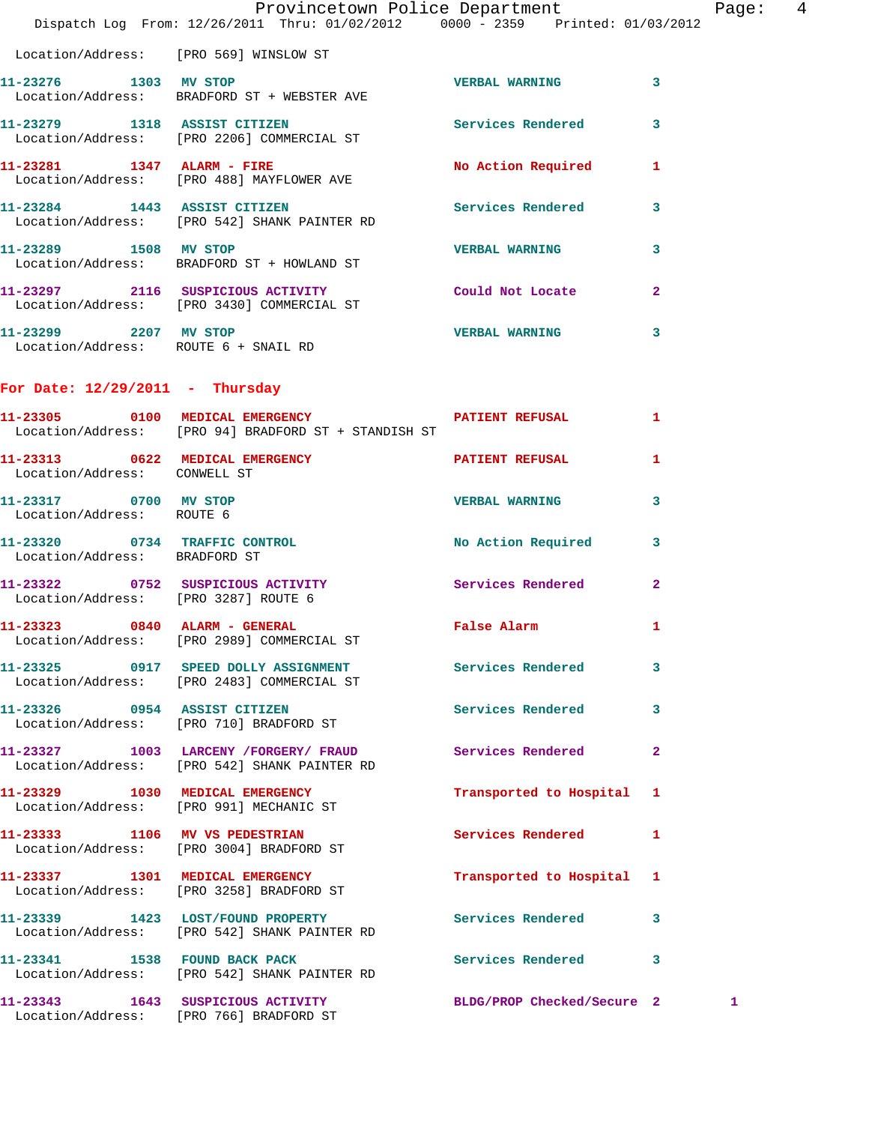|                                                    | Provincetown Police Department<br>Dispatch Log From: 12/26/2011 Thru: 01/02/2012 0000 - 2359 Printed: 01/03/2012 |                            |                | Page:  4 |  |
|----------------------------------------------------|------------------------------------------------------------------------------------------------------------------|----------------------------|----------------|----------|--|
|                                                    | Location/Address: [PRO 569] WINSLOW ST                                                                           |                            |                |          |  |
| 11-23276 1303 MV STOP                              | Location/Address: BRADFORD ST + WEBSTER AVE                                                                      | <b>VERBAL WARNING 3</b>    |                |          |  |
|                                                    | 11-23279 1318 ASSIST CITIZEN<br>Location/Address: [PRO 2206] COMMERCIAL ST                                       | Services Rendered 3        |                |          |  |
|                                                    | 11-23281 1347 ALARM - FIRE<br>Location/Address: [PRO 488] MAYFLOWER AVE                                          | No Action Required 1       |                |          |  |
|                                                    | 11-23284 1443 ASSIST CITIZEN<br>Location/Address: [PRO 542] SHANK PAINTER RD                                     | Services Rendered 3        |                |          |  |
| 11-23289 1508 MV STOP                              | Location/Address: BRADFORD ST + HOWLAND ST                                                                       | <b>VERBAL WARNING</b>      | $\mathbf{3}$   |          |  |
|                                                    | 11-23297 2116 SUSPICIOUS ACTIVITY<br>Location/Address: [PRO 3430] COMMERCIAL ST                                  | Could Not Locate           | $\mathbf{2}$   |          |  |
| Location/Address: ROUTE 6 + SNAIL RD               | 11-23299 2207 MV STOP                                                                                            | <b>VERBAL WARNING</b>      | 3              |          |  |
| For Date: $12/29/2011$ - Thursday                  |                                                                                                                  |                            |                |          |  |
|                                                    | 11-23305 0100 MEDICAL EMERGENCY PATIENT REFUSAL<br>Location/Address: [PRO 94] BRADFORD ST + STANDISH ST          |                            | $\mathbf{1}$   |          |  |
| Location/Address: CONWELL ST                       | 11-23313 0622 MEDICAL EMERGENCY PATIENT REFUSAL 1                                                                |                            |                |          |  |
| 11-23317 0700 MV STOP<br>Location/Address: ROUTE 6 |                                                                                                                  | <b>VERBAL WARNING</b>      | 3              |          |  |
| Location/Address: BRADFORD ST                      | 11-23320 0734 TRAFFIC CONTROL No Action Required 3                                                               |                            |                |          |  |
| Location/Address: [PRO 3287] ROUTE 6               | 11-23322 0752 SUSPICIOUS ACTIVITY Services Rendered                                                              |                            | $\overline{2}$ |          |  |
|                                                    | 11-23323 0840 ALARM - GENERAL<br>Location/Address: [PRO 2989] COMMERCIAL ST                                      | False Alarm                | 1              |          |  |
|                                                    | 11-23325 0917 SPEED DOLLY ASSIGNMENT<br>Location/Address: [PRO 2483] COMMERCIAL ST                               | Services Rendered          | 3              |          |  |
|                                                    | 11-23326 0954 ASSIST CITIZEN<br>Location/Address: [PRO 710] BRADFORD ST                                          | Services Rendered          | 3              |          |  |
|                                                    | 11-23327 1003 LARCENY / FORGERY / FRAUD<br>Location/Address: [PRO 542] SHANK PAINTER RD                          | Services Rendered          | $\mathbf{2}$   |          |  |
|                                                    | 11-23329 1030 MEDICAL EMERGENCY<br>Location/Address: [PRO 991] MECHANIC ST                                       | Transported to Hospital 1  |                |          |  |
|                                                    | 11-23333 1106 MV VS PEDESTRIAN<br>Location/Address: [PRO 3004] BRADFORD ST                                       | Services Rendered          | $\mathbf{1}$   |          |  |
|                                                    | 11-23337 1301 MEDICAL EMERGENCY<br>Location/Address: [PRO 3258] BRADFORD ST                                      | Transported to Hospital 1  |                |          |  |
|                                                    | 11-23339 1423 LOST/FOUND PROPERTY<br>Location/Address: [PRO 542] SHANK PAINTER RD                                | Services Rendered 3        |                |          |  |
|                                                    | 11-23341 1538 FOUND BACK PACK<br>Location/Address: [PRO 542] SHANK PAINTER RD                                    | Services Rendered 3        |                |          |  |
|                                                    | 11-23343 1643 SUSPICIOUS ACTIVITY<br>Location/Address: [PRO 766] BRADFORD ST                                     | BLDG/PROP Checked/Secure 2 |                | 1        |  |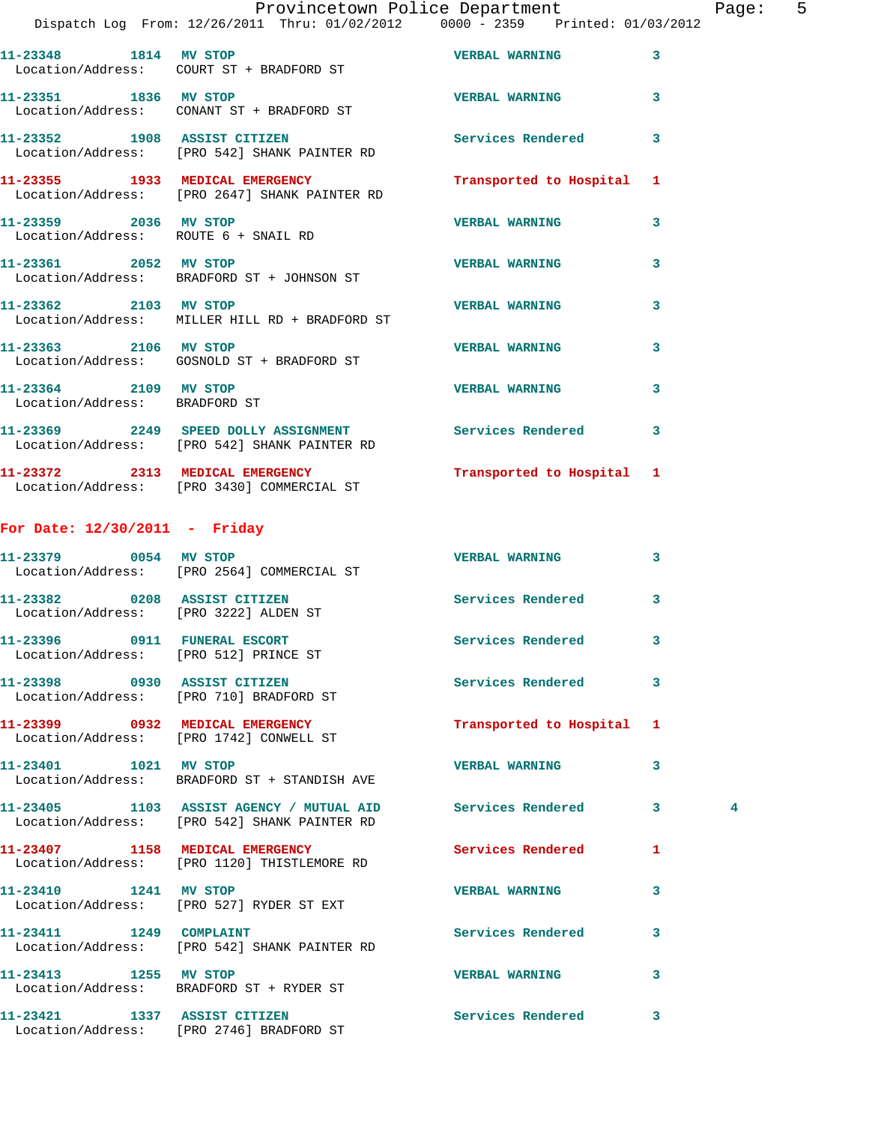|      | Page: | 5 |
|------|-------|---|
| 2012 |       |   |

|                                                        | Provincetown Police Department<br>Dispatch Log From: 12/26/2011 Thru: 01/02/2012 0000 - 2359 Printed: 01/03/2012 |                           |   | Pag            |
|--------------------------------------------------------|------------------------------------------------------------------------------------------------------------------|---------------------------|---|----------------|
|                                                        | 11-23348 1814 MV STOP<br>Location/Address: COURT ST + BRADFORD ST                                                | <b>VERBAL WARNING</b>     | 3 |                |
|                                                        | 11-23351 1836 MV STOP<br>Location/Address: CONANT ST + BRADFORD ST                                               | <b>VERBAL WARNING</b>     | 3 |                |
|                                                        | 11-23352 1908 ASSIST CITIZEN Services Rendered<br>Location/Address: [PRO 542] SHANK PAINTER RD                   |                           | 3 |                |
|                                                        | 11-23355 1933 MEDICAL EMERGENCY<br>Location/Address: [PRO 2647] SHANK PAINTER RD                                 | Transported to Hospital 1 |   |                |
| 11-23359 2036 MV STOP                                  | Location/Address: ROUTE 6 + SNAIL RD                                                                             | <b>VERBAL WARNING</b>     | 3 |                |
| 11-23361 2052 MV STOP                                  | Location/Address: BRADFORD ST + JOHNSON ST                                                                       | <b>VERBAL WARNING</b>     | 3 |                |
| 11-23362 2103 MV STOP                                  | Location/Address: MILLER HILL RD + BRADFORD ST                                                                   | <b>VERBAL WARNING</b>     | 3 |                |
| 11-23363 2106 MV STOP                                  | Location/Address: GOSNOLD ST + BRADFORD ST                                                                       | <b>VERBAL WARNING</b>     | 3 |                |
| 11-23364 2109 MV STOP<br>Location/Address: BRADFORD ST |                                                                                                                  | <b>VERBAL WARNING</b>     | 3 |                |
|                                                        | 11-23369 2249 SPEED DOLLY ASSIGNMENT Services Rendered<br>Location/Address: [PRO 542] SHANK PAINTER RD           |                           | 3 |                |
|                                                        | 11-23372 2313 MEDICAL EMERGENCY<br>Location/Address: [PRO 3430] COMMERCIAL ST                                    | Transported to Hospital 1 |   |                |
| For Date: $12/30/2011$ - Friday                        |                                                                                                                  |                           |   |                |
|                                                        | 11-23379 0054 MV STOP<br>Location/Address: [PRO 2564] COMMERCIAL ST                                              | <b>VERBAL WARNING</b>     | 3 |                |
|                                                        | 11-23382 0208 ASSIST CITIZEN<br>Location/Address: [PRO 3222] ALDEN ST                                            | Services Rendered         | 3 |                |
|                                                        | 11-23396 0911 FUNERAL ESCORT<br>Location/Address: [PRO 512] PRINCE ST                                            | Services Rendered         | 3 |                |
|                                                        | 11-23398 0930 ASSIST CITIZEN<br>Location/Address: [PRO 710] BRADFORD ST                                          | Services Rendered         | 3 |                |
|                                                        | 11-23399 0932 MEDICAL EMERGENCY<br>Location/Address: [PRO 1742] CONWELL ST                                       | Transported to Hospital 1 |   |                |
| 11-23401 1021 MV STOP                                  | Location/Address: BRADFORD ST + STANDISH AVE                                                                     | <b>VERBAL WARNING</b>     | 3 |                |
|                                                        | 11-23405 1103 ASSIST AGENCY / MUTUAL AID Services Rendered<br>Location/Address: [PRO 542] SHANK PAINTER RD       |                           | 3 | $\overline{4}$ |
|                                                        | 11-23407 1158 MEDICAL EMERGENCY<br>Location/Address: [PRO 1120] THISTLEMORE RD                                   | <b>Services Rendered</b>  | 1 |                |
|                                                        | 11-23410 1241 MV STOP<br>Location/Address: [PRO 527] RYDER ST EXT                                                | <b>VERBAL WARNING</b>     | 3 |                |
| 11-23411 1249 COMPLAINT                                | Location/Address: [PRO 542] SHANK PAINTER RD                                                                     | Services Rendered         | 3 |                |
|                                                        | 11-23413 1255 MV STOP<br>Location/Address: BRADFORD ST + RYDER ST                                                | <b>VERBAL WARNING</b>     | 3 |                |
|                                                        | 11-23421 1337 ASSIST CITIZEN<br>Location/Address: [PRO 2746] BRADFORD ST                                         | Services Rendered         | 3 |                |
|                                                        |                                                                                                                  |                           |   |                |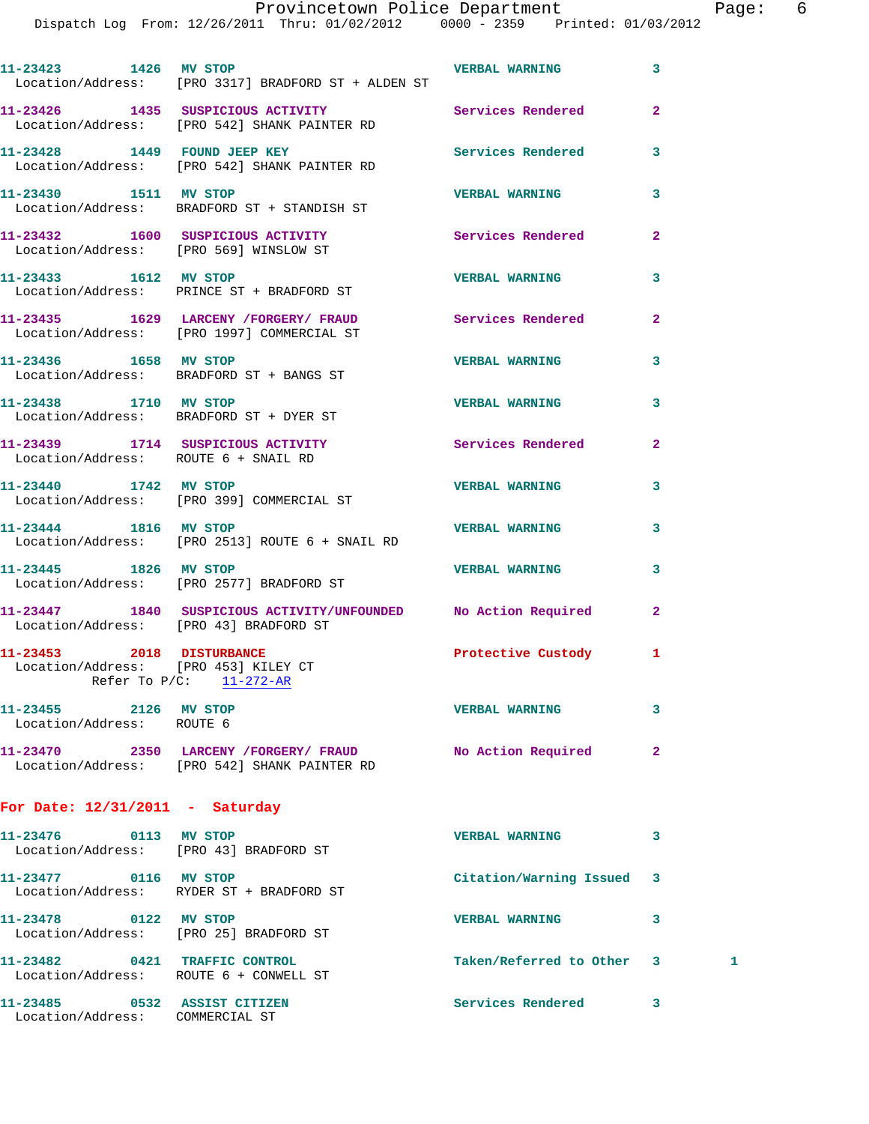Dispatch Log From: 12/26/2011 Thru: 01/02/2012 0000 - 2359 Printed: 01/03/2012

| 11-23423 1426 MV STOP                                                   | Location/Address: [PRO 3317] BRADFORD ST + ALDEN ST                                                        | <b>VERBAL WARNING</b>     | 3              |   |
|-------------------------------------------------------------------------|------------------------------------------------------------------------------------------------------------|---------------------------|----------------|---|
|                                                                         | 11-23426 1435 SUSPICIOUS ACTIVITY Services Rendered<br>Location/Address: [PRO 542] SHANK PAINTER RD        |                           | $\overline{2}$ |   |
|                                                                         | 11-23428 1449 FOUND JEEP KEY<br>Location/Address: [PRO 542] SHANK PAINTER RD                               | Services Rendered         | 3              |   |
| 11-23430 1511 MV STOP                                                   | Location/Address: BRADFORD ST + STANDISH ST                                                                | <b>VERBAL WARNING</b>     | 3              |   |
|                                                                         | 11-23432 1600 SUSPICIOUS ACTIVITY<br>Location/Address: [PRO 569] WINSLOW ST                                | Services Rendered         | $\overline{2}$ |   |
| 11-23433 1612 MV STOP                                                   | Location/Address: PRINCE ST + BRADFORD ST                                                                  | <b>VERBAL WARNING</b>     | 3              |   |
|                                                                         | 11-23435 1629 LARCENY / FORGERY / FRAUD<br>Location/Address: [PRO 1997] COMMERCIAL ST                      | Services Rendered         | $\overline{a}$ |   |
|                                                                         | 11-23436 1658 MV STOP<br>Location/Address: BRADFORD ST + BANGS ST                                          | <b>VERBAL WARNING</b>     | 3              |   |
| 11-23438 1710 MV STOP                                                   | Location/Address: BRADFORD ST + DYER ST                                                                    | <b>VERBAL WARNING</b>     | 3              |   |
| Location/Address: ROUTE 6 + SNAIL RD                                    | 11-23439 1714 SUSPICIOUS ACTIVITY                                                                          | Services Rendered         | $\mathbf{2}$   |   |
| 11-23440 1742 MV STOP                                                   | Location/Address: [PRO 399] COMMERCIAL ST                                                                  | <b>VERBAL WARNING</b>     | 3              |   |
| 11-23444 1816 MV STOP                                                   | Location/Address: [PRO 2513] ROUTE 6 + SNAIL RD                                                            | <b>VERBAL WARNING</b>     | 3              |   |
| 11-23445 1826 MV STOP                                                   | Location/Address: [PRO 2577] BRADFORD ST                                                                   | <b>VERBAL WARNING</b>     | 3              |   |
| Location/Address: [PRO 43] BRADFORD ST                                  | 11-23447 1840 SUSPICIOUS ACTIVITY/UNFOUNDED No Action Required                                             |                           | $\overline{2}$ |   |
| 11-23453 2018 DISTURBANCE<br>Location/Address: [PRO 453] KILEY CT       | Refer To $P/C:$ 11-272-AR                                                                                  | Protective Custody        | 1              |   |
| 11-23455 2126 MV STOP<br>Location/Address: ROUTE 6                      |                                                                                                            | <b>VERBAL WARNING</b>     | 3              |   |
|                                                                         | 11-23470 2350 LARCENY / FORGERY / FRAUD No Action Required<br>Location/Address: [PRO 542] SHANK PAINTER RD |                           | $\overline{a}$ |   |
| For Date: $12/31/2011$ - Saturday                                       |                                                                                                            |                           |                |   |
| 11-23476 0113 MV STOP<br>Location/Address: [PRO 43] BRADFORD ST         |                                                                                                            | <b>VERBAL WARNING</b>     | 3              |   |
| 11-23477 0116 MV STOP                                                   | Location/Address: RYDER ST + BRADFORD ST                                                                   | Citation/Warning Issued   | 3              |   |
| 11-23478 0122 MV STOP                                                   | Location/Address: [PRO 25] BRADFORD ST                                                                     | <b>VERBAL WARNING</b>     | 3              |   |
| 11-23482 0421 TRAFFIC CONTROL<br>Location/Address: ROUTE 6 + CONWELL ST |                                                                                                            | Taken/Referred to Other 3 |                | 1 |

**11-23485 0532 ASSIST CITIZEN Services Rendered 3**  Location/Address: COMMERCIAL ST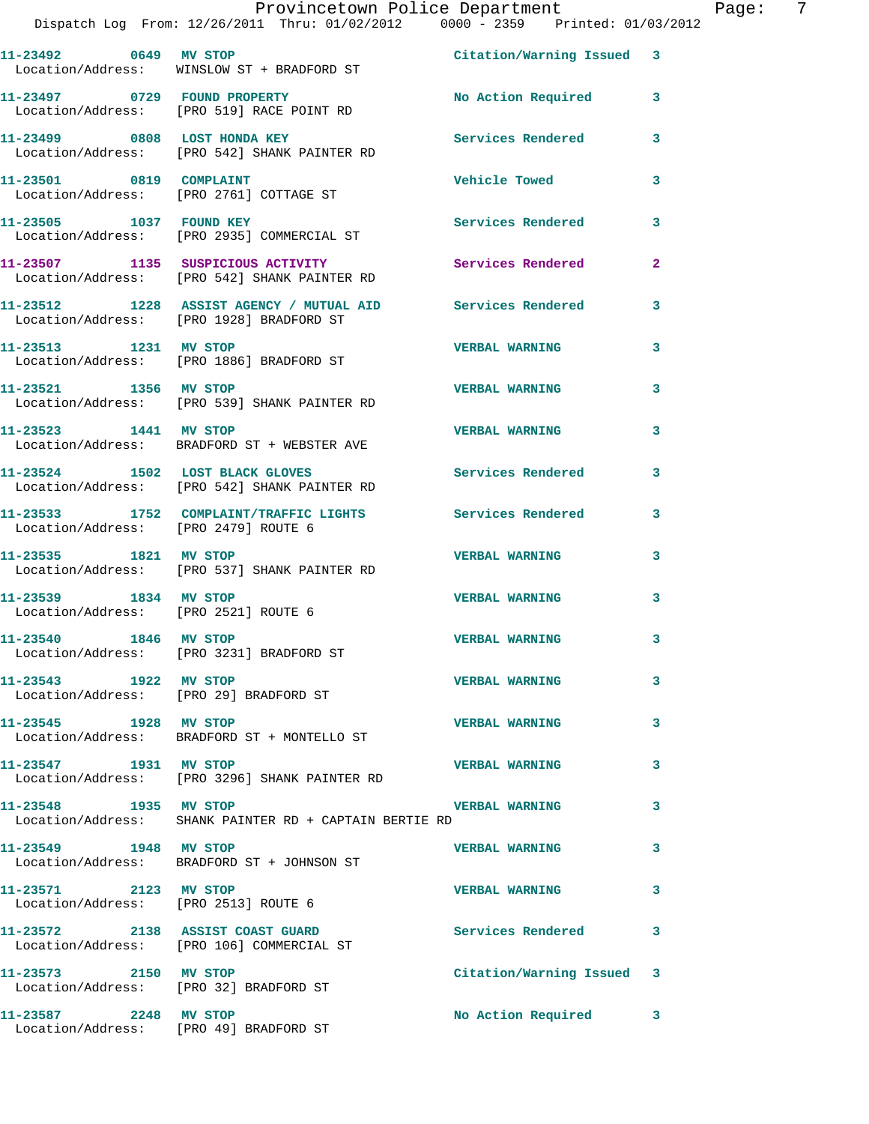|                                                                    | Provincetown Police Department<br>Dispatch Log From: 12/26/2011 Thru: 01/02/2012 0000 - 2359 Printed: 01/03/2012 |                           | E                       |
|--------------------------------------------------------------------|------------------------------------------------------------------------------------------------------------------|---------------------------|-------------------------|
| $11 - 23492$ 0649                                                  | <b>MV STOP</b><br>Location/Address: WINSLOW ST + BRADFORD ST                                                     | Citation/Warning Issued 3 |                         |
| 11-23497 0729 FOUND PROPERTY                                       | Location/Address: [PRO 519] RACE POINT RD                                                                        | No Action Required        | 3                       |
| 11-23499 0808 LOST HONDA KEY                                       | Location/Address: [PRO 542] SHANK PAINTER RD                                                                     | Services Rendered         | 3                       |
| 11-23501 0819 COMPLAINT<br>Location/Address: [PRO 2761] COTTAGE ST |                                                                                                                  | Vehicle Towed             | 3                       |
| 11-23505 1037                                                      | <b>FOUND KEY</b><br>Location/Address: [PRO 2935] COMMERCIAL ST                                                   | Services Rendered         | 3                       |
| 11-23507 1135 SUSPICIOUS ACTIVITY<br>Location/Address:             | [PRO 542] SHANK PAINTER RD                                                                                       | Services Rendered         | $\overline{\mathbf{2}}$ |

**11-23512 1228 ASSIST AGENCY / MUTUAL AID Services Rendered 3** 

**11-23513 1231 MV STOP VERBAL WARNING 3** 

**11-23521 1356 MV STOP VERBAL WARNING 3** 

**11-23523 1441 MV STOP VERBAL WARNING 3** 

**11-23524 1502 LOST BLACK GLOVES Services Rendered 3**  Location/Address: [PRO 542] SHANK PAINTER RD

Location/Address: [PRO 1928] BRADFORD ST

Location/Address: [PRO 1886] BRADFORD ST

Location/Address: [PRO 539] SHANK PAINTER RD

Location/Address: BRADFORD ST + WEBSTER AVE

- **11-23533 1752 COMPLAINT/TRAFFIC LIGHTS Services Rendered 3**  Location/Address: [PRO 2479] ROUTE 6
- **11-23535 1821 MV STOP VERBAL WARNING 3**  Location/Address: [PRO 537] SHANK PAINTER RD
- **11-23539 1834 MV STOP VERBAL WARNING 3**  Location/Address: [PRO 2521] ROUTE 6
- **11-23540 1846 MV STOP VERBAL WARNING 3**  Location/Address: [PRO 3231] BRADFORD ST
- **11-23543 1922 MV STOP VERBAL WARNING 3**  Location/Address: [PRO 29] BRADFORD ST
- **11-23545 1928 MV STOP VERBAL WARNING 3**  Location/Address: BRADFORD ST + MONTELLO ST
- **11-23547 1931 MV STOP VERBAL WARNING 3**  Location/Address: [PRO 3296] SHANK PAINTER RD
- **11-23548 1935 MV STOP VERBAL WARNING 3**
- 
- Location/Address: BRADFORD ST + JOHNSON ST
- Location/Address: [PRO 2513] ROUTE 6
- **11-23572 2138 ASSIST COAST GUARD Services Rendered 3**
- 
- 
- 
- 11-23587 2248 MV STOP **No Action Required** 3
	-
- Location/Address: SHANK PAINTER RD + CAPTAIN BERTIE RD
- **11-23549 1948 MV STOP VERBAL WARNING 3**
- **11-23571 2123 MV STOP VERBAL WARNING 3** 
	-
	-
- Location/Address: [PRO 106] COMMERCIAL ST
- **11-23573 2150 MV STOP Citation/Warning Issued 3**
- Location/Address: [PRO 32] BRADFORD ST
- 
- Location/Address: [PRO 49] BRADFORD ST
- 
- Page: 7
	-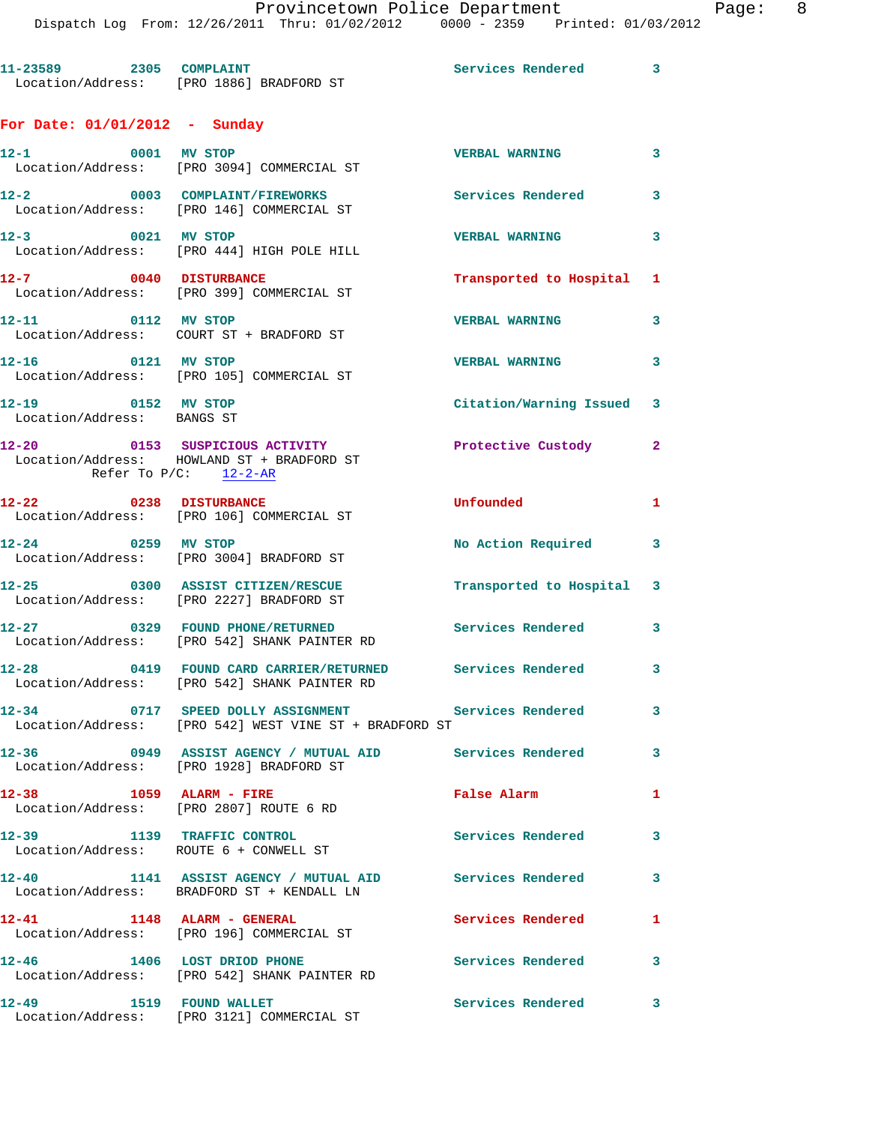|                                                  | Dispatch Log From: 12/26/2011 Thru: 01/02/2012 0000 - 2359 Printed: 01/03/2012                                |                          |              |
|--------------------------------------------------|---------------------------------------------------------------------------------------------------------------|--------------------------|--------------|
|                                                  | 11-23589 2305 COMPLAINT<br>Location/Address: [PRO 1886] BRADFORD ST                                           | Services Rendered 3      |              |
| For Date: $01/01/2012$ - Sunday                  |                                                                                                               |                          |              |
| 12-1 0001 MV STOP                                | Location/Address: [PRO 3094] COMMERCIAL ST                                                                    | <b>VERBAL WARNING</b>    | 3            |
|                                                  | 12-2 0003 COMPLAINT/FIREWORKS<br>Location/Address: [PRO 146] COMMERCIAL ST                                    | <b>Services Rendered</b> | 3            |
| 12-3 0021 MV STOP                                | Location/Address: [PRO 444] HIGH POLE HILL                                                                    | <b>VERBAL WARNING</b>    | 3            |
| 12-7 0040 DISTURBANCE                            | Location/Address: [PRO 399] COMMERCIAL ST                                                                     | Transported to Hospital  | 1            |
| 12-11 0112 MV STOP                               | Location/Address: COURT ST + BRADFORD ST                                                                      | <b>VERBAL WARNING</b>    | 3            |
| 12-16 0121 MV STOP                               | Location/Address: [PRO 105] COMMERCIAL ST                                                                     | <b>VERBAL WARNING</b>    | 3            |
| 12-19 0152 MV STOP<br>Location/Address: BANGS ST |                                                                                                               | Citation/Warning Issued  | 3            |
|                                                  | 12-20 0153 SUSPICIOUS ACTIVITY<br>Location/Address: HOWLAND ST + BRADFORD ST                                  | Protective Custody       | $\mathbf{2}$ |
| 12-22 0238 DISTURBANCE                           | Refer To $P/C$ : 12-2-AR                                                                                      | Unfounded                | 1            |
|                                                  | Location/Address: [PRO 106] COMMERCIAL ST                                                                     |                          |              |
|                                                  | 12-24 0259 MV STOP<br>Location/Address: [PRO 3004] BRADFORD ST                                                | No Action Required       | 3            |
|                                                  | 12-25 0300 ASSIST CITIZEN/RESCUE<br>Location/Address: [PRO 2227] BRADFORD ST                                  | Transported to Hospital  | 3            |
|                                                  | 12-27 0329 FOUND PHONE/RETURNED<br>Location/Address: [PRO 542] SHANK PAINTER RD                               | <b>Services Rendered</b> | 3            |
|                                                  | 12-28 0419 FOUND CARD CARRIER/RETURNED Services Rendered<br>Location/Address: [PRO 542] SHANK PAINTER RD      |                          | 3            |
|                                                  | 12-34 0717 SPEED DOLLY ASSIGNMENT Services Rendered<br>Location/Address: [PRO 542] WEST VINE ST + BRADFORD ST |                          | 3            |
|                                                  | 12-36 6949 ASSIST AGENCY / MUTUAL AID Services Rendered<br>Location/Address: [PRO 1928] BRADFORD ST           |                          | 3            |
| 12-38 1059 ALARM - FIRE                          | Location/Address: [PRO 2807] ROUTE 6 RD                                                                       | <b>False Alarm</b>       | 1            |
|                                                  | 12-39 1139 TRAFFIC CONTROL<br>Location/Address: ROUTE 6 + CONWELL ST                                          | Services Rendered        | 3            |
|                                                  | 12-40 1141 ASSIST AGENCY / MUTUAL AID Services Rendered<br>Location/Address: BRADFORD ST + KENDALL LN         |                          | 3            |
| 12-41 1148 ALARM - GENERAL                       | Location/Address: [PRO 196] COMMERCIAL ST                                                                     | Services Rendered        | 1            |
|                                                  | 12-46 1406 LOST DRIOD PHONE<br>Location/Address: [PRO 542] SHANK PAINTER RD                                   | Services Rendered        | 3            |
| 12-49 1519 FOUND WALLET                          | Location/Address: [PRO 3121] COMMERCIAL ST                                                                    | <b>Services Rendered</b> | 3            |
|                                                  |                                                                                                               |                          |              |